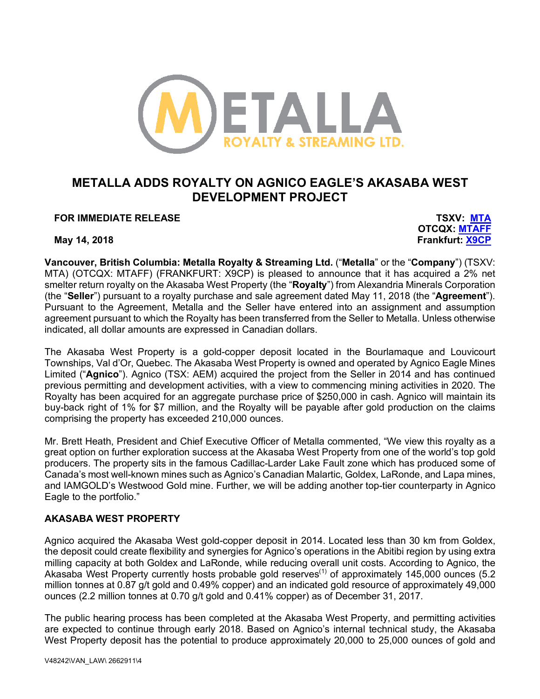

# **METALLA ADDS ROYALTY ON AGNICO EAGLE'S AKASABA WEST DEVELOPMENT PROJECT**

**FOR IMMEDIATE RELEASE TSXV: MTA**

**OTCQX: MTAFF May 14, 2018 Frankfurt: X9CP**

**Vancouver, British Columbia: Metalla Royalty & Streaming Ltd.** ("**Metalla**" or the "**Company**") (TSXV: MTA) (OTCQX: MTAFF) (FRANKFURT: X9CP) is pleased to announce that it has acquired a 2% net smelter return royalty on the Akasaba West Property (the "**Royalty**") from Alexandria Minerals Corporation (the "**Seller**") pursuant to a royalty purchase and sale agreement dated May 11, 2018 (the "**Agreement**"). Pursuant to the Agreement, Metalla and the Seller have entered into an assignment and assumption agreement pursuant to which the Royalty has been transferred from the Seller to Metalla. Unless otherwise indicated, all dollar amounts are expressed in Canadian dollars.

The Akasaba West Property is a gold-copper deposit located in the Bourlamaque and Louvicourt Townships, Val d'Or, Quebec. The Akasaba West Property is owned and operated by Agnico Eagle Mines Limited ("**Agnico**"). Agnico (TSX: AEM) acquired the project from the Seller in 2014 and has continued previous permitting and development activities, with a view to commencing mining activities in 2020. The Royalty has been acquired for an aggregate purchase price of \$250,000 in cash. Agnico will maintain its buy-back right of 1% for \$7 million, and the Royalty will be payable after gold production on the claims comprising the property has exceeded 210,000 ounces.

Mr. Brett Heath, President and Chief Executive Officer of Metalla commented, "We view this royalty as a great option on further exploration success at the Akasaba West Property from one of the world's top gold producers. The property sits in the famous Cadillac-Larder Lake Fault zone which has produced some of Canada's most well-known mines such as Agnico's Canadian Malartic, Goldex, LaRonde, and Lapa mines, and IAMGOLD's Westwood Gold mine. Further, we will be adding another top-tier counterparty in Agnico Eagle to the portfolio."

## **AKASABA WEST PROPERTY**

Agnico acquired the Akasaba West gold-copper deposit in 2014. Located less than 30 km from Goldex, the deposit could create flexibility and synergies for Agnico's operations in the Abitibi region by using extra milling capacity at both Goldex and LaRonde, while reducing overall unit costs. According to Agnico, the Akasaba West Property currently hosts probable gold reserves<sup>(1)</sup> of approximately 145,000 ounces (5.2) million tonnes at 0.87 g/t gold and 0.49% copper) and an indicated gold resource of approximately 49,000 ounces (2.2 million tonnes at 0.70 g/t gold and 0.41% copper) as of December 31, 2017.

The public hearing process has been completed at the Akasaba West Property, and permitting activities are expected to continue through early 2018. Based on Agnico's internal technical study, the Akasaba West Property deposit has the potential to produce approximately 20,000 to 25,000 ounces of gold and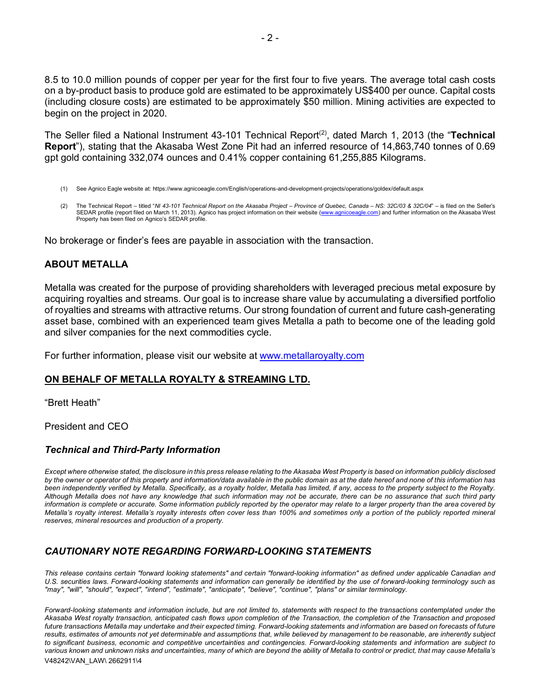8.5 to 10.0 million pounds of copper per year for the first four to five years. The average total cash costs on a by-product basis to produce gold are estimated to be approximately US\$400 per ounce. Capital costs (including closure costs) are estimated to be approximately \$50 million. Mining activities are expected to begin on the project in 2020.

The Seller filed a National Instrument 43-101 Technical Report<sup>(2)</sup>, dated March 1, 2013 (the "**Technical Report**"), stating that the Akasaba West Zone Pit had an inferred resource of 14,863,740 tonnes of 0.69 gpt gold containing 332,074 ounces and 0.41% copper containing 61,255,885 Kilograms.

- (1) See Agnico Eagle website at: https://www.agnicoeagle.com/English/operations-and-development-projects/operations/goldex/default.aspx
- (2) The Technical Report titled "*NI 43-101 Technical Report on the Akasaba Project Province of Quebec, Canada – NS: 32C/03 & 32C/04*" is filed on the Seller's SEDAR profile (report filed on March 11, 2013). Agnico has project information on their website (www.agnicoeagle.com) and further information on the Akasaba West Property has been filed on Agnico's SEDAR profile.

No brokerage or finder's fees are payable in association with the transaction.

### **ABOUT METALLA**

Metalla was created for the purpose of providing shareholders with leveraged precious metal exposure by acquiring royalties and streams. Our goal is to increase share value by accumulating a diversified portfolio of royalties and streams with attractive returns. Our strong foundation of current and future cash-generating asset base, combined with an experienced team gives Metalla a path to become one of the leading gold and silver companies for the next commodities cycle.

For further information, please visit our website at www.metallaroyalty.com

#### **ON BEHALF OF METALLA ROYALTY & STREAMING LTD.**

"Brett Heath"

President and CEO

#### *Technical and Third-Party Information*

*Except where otherwise stated, the disclosure in this press release relating to the Akasaba West Property is based on information publicly disclosed*  by the owner or operator of this property and information/data available in the public domain as at the date hereof and none of this information has *been independently verified by Metalla. Specifically, as a royalty holder, Metalla has limited, if any, access to the property subject to the Royalty. Although Metalla does not have any knowledge that such information may not be accurate, there can be no assurance that such third party*  information is complete or accurate. Some information publicly reported by the operator may relate to a larger property than the area covered by *Metalla's royalty interest. Metalla's royalty interests often cover less than 100% and sometimes only a portion of the publicly reported mineral reserves, mineral resources and production of a property.*

## *CAUTIONARY NOTE REGARDING FORWARD-LOOKING STATEMENTS*

*This release contains certain "forward looking statements" and certain "forward-looking information" as defined under applicable Canadian and U.S. securities laws. Forward-looking statements and information can generally be identified by the use of forward-looking terminology such as "may", "will", "should", "expect", "intend", "estimate", "anticipate", "believe", "continue", "plans" or similar terminology.*

V48242\VAN\_LAW\ 2662911\4 Forward-looking statements and information include, but are not limited to, statements with respect to the transactions contemplated under the *Akasaba West royalty transaction, anticipated cash flows upon completion of the Transaction, the completion of the Transaction and proposed*  future transactions Metalla may undertake and their expected timing. Forward-looking statements and information are based on forecasts of future *results, estimates of amounts not yet determinable and assumptions that, while believed by management to be reasonable, are inherently subject to significant business, economic and competitive uncertainties and contingencies. Forward-looking statements and information are subject to various known and unknown risks and uncertainties, many of which are beyond the ability of Metalla to control or predict, that may cause Metalla's*